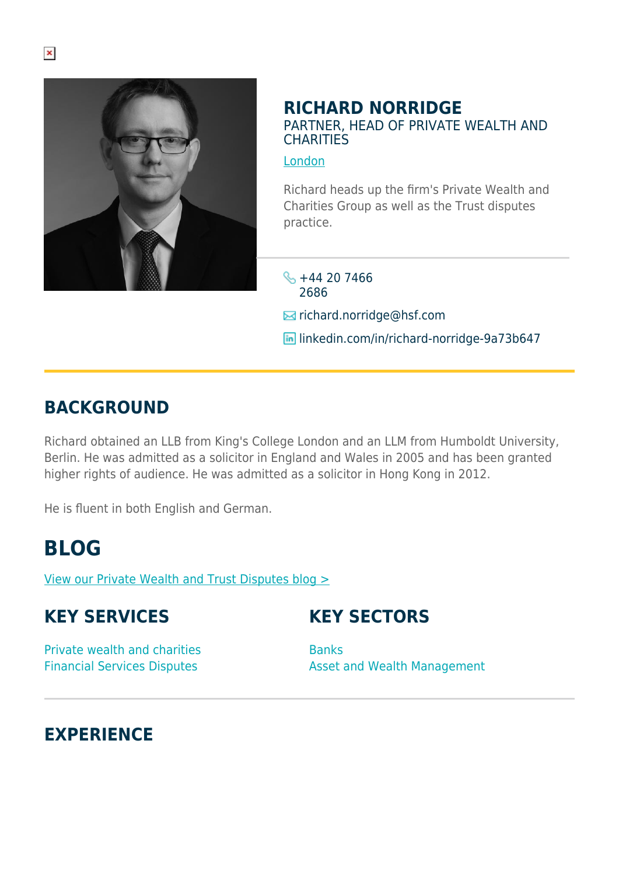

#### **RICHARD NORRIDGE** PARTNER, HEAD OF PRIVATE WEALTH AND **CHARITIES**

#### [London](https://www.herbertsmithfreehills.com/lang-de/where-we-work/london)

Richard heads up the firm's Private Wealth and Charities Group as well as the Trust disputes practice.

 $\frac{1}{2}$  +44 20 7466 2686

**E**richard.norridge@hsf.com

**in** linkedin.com/in/richard-norridge-9a73b647

### **BACKGROUND**

Richard obtained an LLB from King's College London and an LLM from Humboldt University, Berlin. He was admitted as a solicitor in England and Wales in 2005 and has been granted higher rights of audience. He was admitted as a solicitor in Hong Kong in 2012.

He is fluent in both English and German.

## **BLOG**

[View our Private Wealth and Trust Disputes blog >](http://hsfnotes.com/pwtd/)

## **KEY SERVICES**

**KEY SECTORS**

Private wealth and charities Financial Services Disputes

Banks Asset and Wealth Management

## **EXPERIENCE**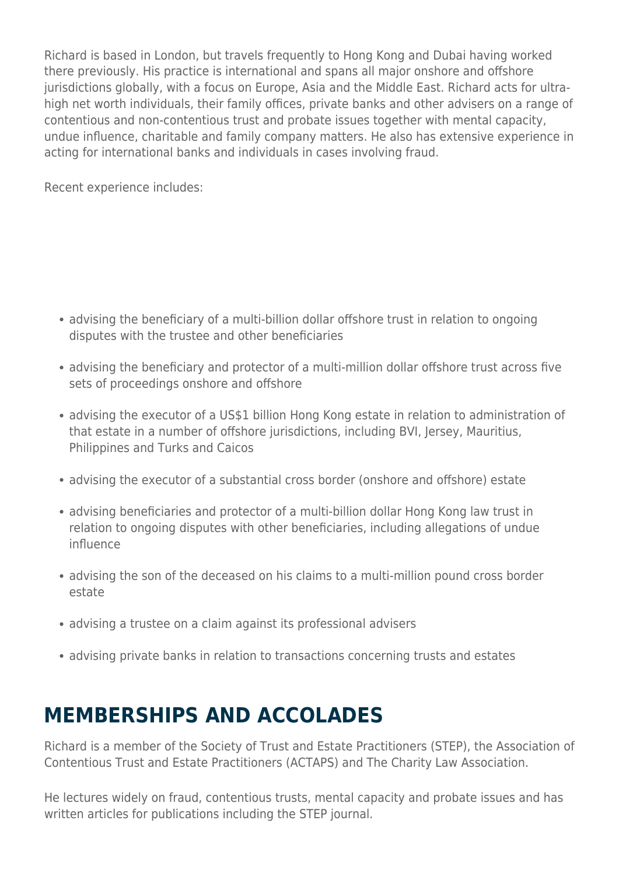Richard is based in London, but travels frequently to Hong Kong and Dubai having worked there previously. His practice is international and spans all major onshore and offshore jurisdictions globally, with a focus on Europe, Asia and the Middle East. Richard acts for ultrahigh net worth individuals, their family offices, private banks and other advisers on a range of contentious and non-contentious trust and probate issues together with mental capacity, undue influence, charitable and family company matters. He also has extensive experience in acting for international banks and individuals in cases involving fraud.

Recent experience includes:

- advising the beneficiary of a multi-billion dollar offshore trust in relation to ongoing disputes with the trustee and other beneficiaries
- advising the beneficiary and protector of a multi-million dollar offshore trust across five sets of proceedings onshore and offshore
- advising the executor of a US\$1 billion Hong Kong estate in relation to administration of that estate in a number of offshore jurisdictions, including BVI, Jersey, Mauritius, Philippines and Turks and Caicos
- advising the executor of a substantial cross border (onshore and offshore) estate
- advising beneficiaries and protector of a multi-billion dollar Hong Kong law trust in relation to ongoing disputes with other beneficiaries, including allegations of undue influence
- advising the son of the deceased on his claims to a multi-million pound cross border estate
- advising a trustee on a claim against its professional advisers
- advising private banks in relation to transactions concerning trusts and estates

# **MEMBERSHIPS AND ACCOLADES**

Richard is a member of the Society of Trust and Estate Practitioners (STEP), the Association of Contentious Trust and Estate Practitioners (ACTAPS) and The Charity Law Association.

He lectures widely on fraud, contentious trusts, mental capacity and probate issues and has written articles for publications including the STEP journal.